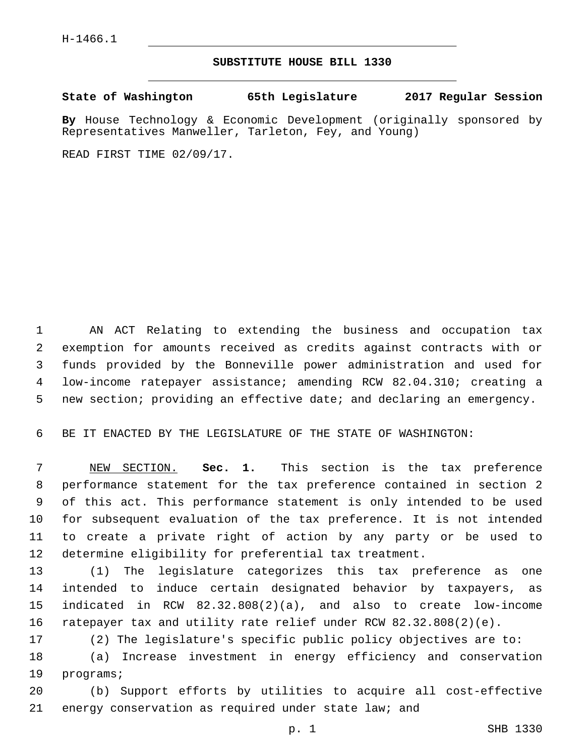## **SUBSTITUTE HOUSE BILL 1330**

**State of Washington 65th Legislature 2017 Regular Session**

**By** House Technology & Economic Development (originally sponsored by Representatives Manweller, Tarleton, Fey, and Young)

READ FIRST TIME 02/09/17.

 AN ACT Relating to extending the business and occupation tax exemption for amounts received as credits against contracts with or funds provided by the Bonneville power administration and used for low-income ratepayer assistance; amending RCW 82.04.310; creating a new section; providing an effective date; and declaring an emergency.

BE IT ENACTED BY THE LEGISLATURE OF THE STATE OF WASHINGTON:

 NEW SECTION. **Sec. 1.** This section is the tax preference performance statement for the tax preference contained in section 2 of this act. This performance statement is only intended to be used for subsequent evaluation of the tax preference. It is not intended to create a private right of action by any party or be used to determine eligibility for preferential tax treatment.

 (1) The legislature categorizes this tax preference as one intended to induce certain designated behavior by taxpayers, as indicated in RCW 82.32.808(2)(a), and also to create low-income ratepayer tax and utility rate relief under RCW 82.32.808(2)(e).

(2) The legislature's specific public policy objectives are to:

 (a) Increase investment in energy efficiency and conservation 19 programs;

 (b) Support efforts by utilities to acquire all cost-effective energy conservation as required under state law; and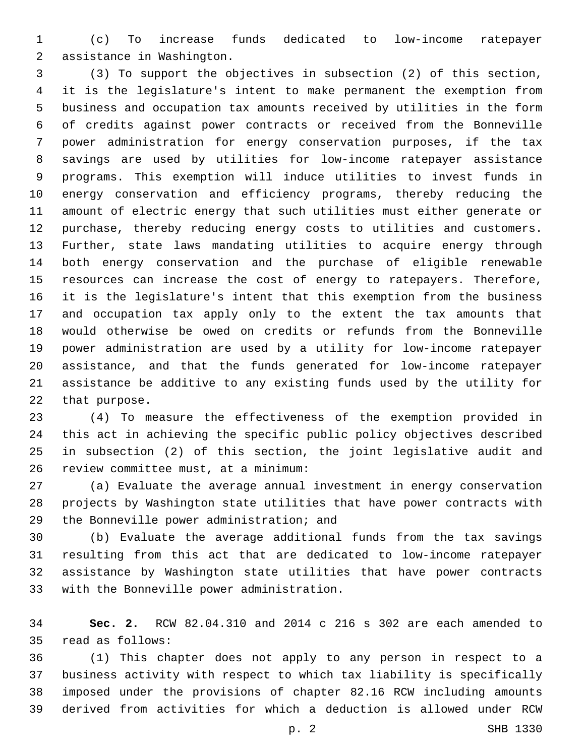(c) To increase funds dedicated to low-income ratepayer 2 assistance in Washington.

 (3) To support the objectives in subsection (2) of this section, it is the legislature's intent to make permanent the exemption from business and occupation tax amounts received by utilities in the form of credits against power contracts or received from the Bonneville power administration for energy conservation purposes, if the tax savings are used by utilities for low-income ratepayer assistance programs. This exemption will induce utilities to invest funds in energy conservation and efficiency programs, thereby reducing the amount of electric energy that such utilities must either generate or purchase, thereby reducing energy costs to utilities and customers. Further, state laws mandating utilities to acquire energy through both energy conservation and the purchase of eligible renewable resources can increase the cost of energy to ratepayers. Therefore, it is the legislature's intent that this exemption from the business and occupation tax apply only to the extent the tax amounts that would otherwise be owed on credits or refunds from the Bonneville power administration are used by a utility for low-income ratepayer assistance, and that the funds generated for low-income ratepayer assistance be additive to any existing funds used by the utility for 22 that purpose.

 (4) To measure the effectiveness of the exemption provided in this act in achieving the specific public policy objectives described in subsection (2) of this section, the joint legislative audit and 26 review committee must, at a minimum:

 (a) Evaluate the average annual investment in energy conservation projects by Washington state utilities that have power contracts with 29 the Bonneville power administration; and

 (b) Evaluate the average additional funds from the tax savings resulting from this act that are dedicated to low-income ratepayer assistance by Washington state utilities that have power contracts 33 with the Bonneville power administration.

 **Sec. 2.** RCW 82.04.310 and 2014 c 216 s 302 are each amended to 35 read as follows:

 (1) This chapter does not apply to any person in respect to a business activity with respect to which tax liability is specifically imposed under the provisions of chapter 82.16 RCW including amounts derived from activities for which a deduction is allowed under RCW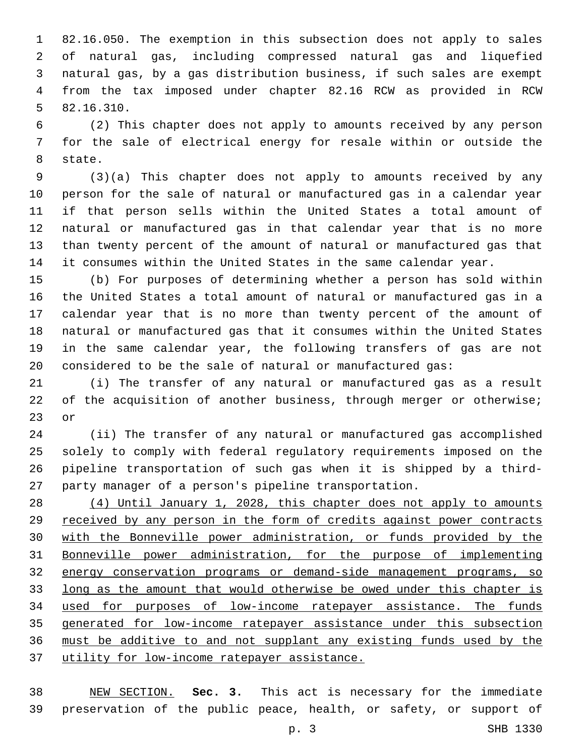82.16.050. The exemption in this subsection does not apply to sales of natural gas, including compressed natural gas and liquefied natural gas, by a gas distribution business, if such sales are exempt from the tax imposed under chapter 82.16 RCW as provided in RCW 82.16.310.5

 (2) This chapter does not apply to amounts received by any person for the sale of electrical energy for resale within or outside the 8 state.

 (3)(a) This chapter does not apply to amounts received by any person for the sale of natural or manufactured gas in a calendar year if that person sells within the United States a total amount of natural or manufactured gas in that calendar year that is no more than twenty percent of the amount of natural or manufactured gas that it consumes within the United States in the same calendar year.

 (b) For purposes of determining whether a person has sold within the United States a total amount of natural or manufactured gas in a calendar year that is no more than twenty percent of the amount of natural or manufactured gas that it consumes within the United States in the same calendar year, the following transfers of gas are not considered to be the sale of natural or manufactured gas:

 (i) The transfer of any natural or manufactured gas as a result 22 of the acquisition of another business, through merger or otherwise; or

 (ii) The transfer of any natural or manufactured gas accomplished solely to comply with federal regulatory requirements imposed on the pipeline transportation of such gas when it is shipped by a third-party manager of a person's pipeline transportation.

 (4) Until January 1, 2028, this chapter does not apply to amounts received by any person in the form of credits against power contracts with the Bonneville power administration, or funds provided by the Bonneville power administration, for the purpose of implementing energy conservation programs or demand-side management programs, so long as the amount that would otherwise be owed under this chapter is used for purposes of low-income ratepayer assistance. The funds generated for low-income ratepayer assistance under this subsection must be additive to and not supplant any existing funds used by the utility for low-income ratepayer assistance.

 NEW SECTION. **Sec. 3.** This act is necessary for the immediate preservation of the public peace, health, or safety, or support of